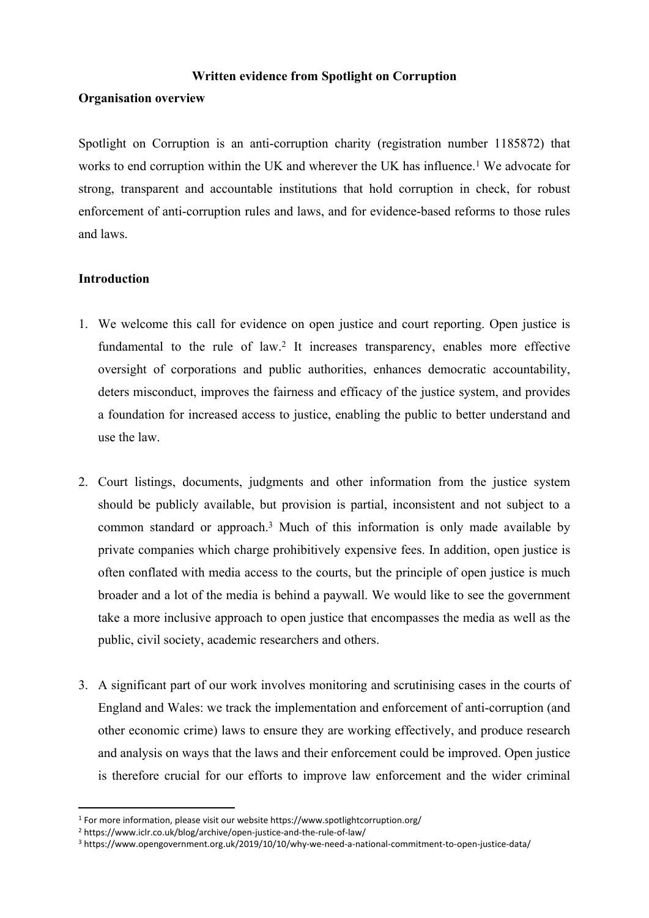#### **Written evidence from Spotlight on Corruption**

#### **Organisation overview**

Spotlight on Corruption is an anti-corruption charity (registration number 1185872) that works to end corruption within the UK and wherever the UK has influence.<sup>1</sup> We advocate for strong, transparent and accountable institutions that hold corruption in check, for robust enforcement of anti-corruption rules and laws, and for evidence-based reforms to those rules and laws.

# **Introduction**

- 1. We welcome this call for evidence on open justice and court reporting. Open justice is fundamental to the rule of law.<sup>2</sup> It increases transparency, enables more effective oversight of corporations and public authorities, enhances democratic accountability, deters misconduct, improves the fairness and efficacy of the justice system, and provides a foundation for increased access to justice, enabling the public to better understand and use the law.
- 2. Court listings, documents, judgments and other information from the justice system should be publicly available, but provision is partial, inconsistent and not subject to a common standard or approach.<sup>3</sup> Much of this information is only made available by private companies which charge prohibitively expensive fees. In addition, open justice is often conflated with media access to the courts, but the principle of open justice is much broader and a lot of the media is behind a paywall. We would like to see the government take a more inclusive approach to open justice that encompasses the media as well as the public, civil society, academic researchers and others.
- 3. A significant part of our work involves monitoring and scrutinising cases in the courts of England and Wales: we track the implementation and enforcement of anti-corruption (and other economic crime) laws to ensure they are working effectively, and produce research and analysis on ways that the laws and their enforcement could be improved. Open justice is therefore crucial for our efforts to improve law enforcement and the wider criminal

<sup>1</sup> For more information, please visit our website https://www.spotlightcorruption.org/

<sup>2</sup> https://www.iclr.co.uk/blog/archive/open-justice-and-the-rule-of-law/

<sup>3</sup> https://www.opengovernment.org.uk/2019/10/10/why-we-need-a-national-commitment-to-open-justice-data/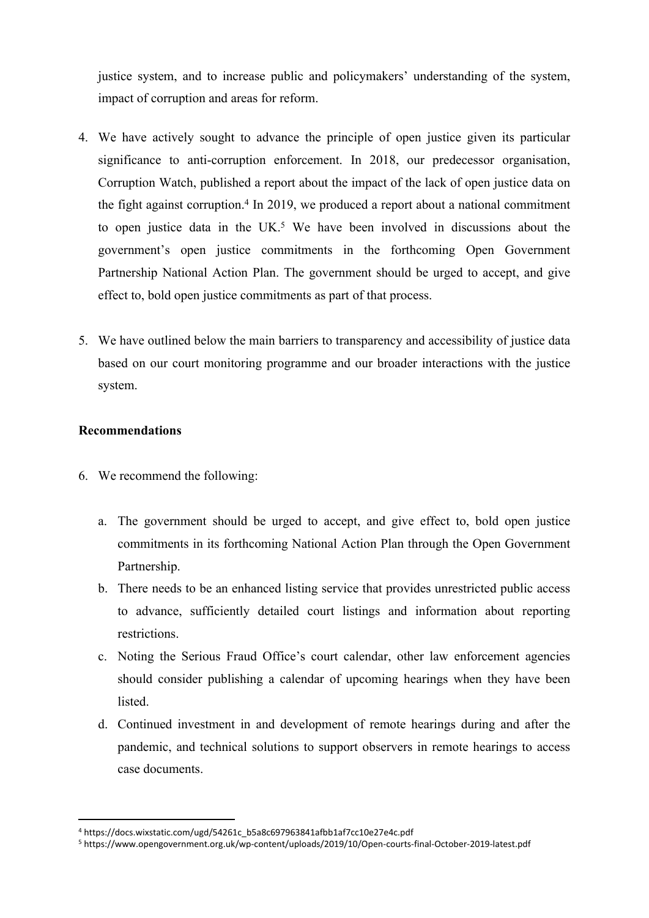justice system, and to increase public and policymakers' understanding of the system, impact of corruption and areas for reform.

- 4. We have actively sought to advance the principle of open justice given its particular significance to anti-corruption enforcement. In 2018, our predecessor organisation, Corruption Watch, published a report about the impact of the lack of open justice data on the fight against corruption.<sup>4</sup> In 2019, we produced a report about a national commitment to open justice data in the UK.<sup>5</sup> We have been involved in discussions about the government's open justice commitments in the forthcoming Open Government Partnership National Action Plan. The government should be urged to accept, and give effect to, bold open justice commitments as part of that process.
- 5. We have outlined below the main barriers to transparency and accessibility of justice data based on our court monitoring programme and our broader interactions with the justice system.

# **Recommendations**

- 6. We recommend the following:
	- a. The government should be urged to accept, and give effect to, bold open justice commitments in its forthcoming National Action Plan through the Open Government Partnership.
	- b. There needs to be an enhanced listing service that provides unrestricted public access to advance, sufficiently detailed court listings and information about reporting restrictions.
	- c. Noting the Serious Fraud Office's court calendar, other law enforcement agencies should consider publishing a calendar of upcoming hearings when they have been **listed**
	- d. Continued investment in and development of remote hearings during and after the pandemic, and technical solutions to support observers in remote hearings to access case documents.

<sup>4</sup> https://docs.wixstatic.com/ugd/54261c\_b5a8c697963841afbb1af7cc10e27e4c.pdf

<sup>5</sup> https://www.opengovernment.org.uk/wp-content/uploads/2019/10/Open-courts-final-October-2019-latest.pdf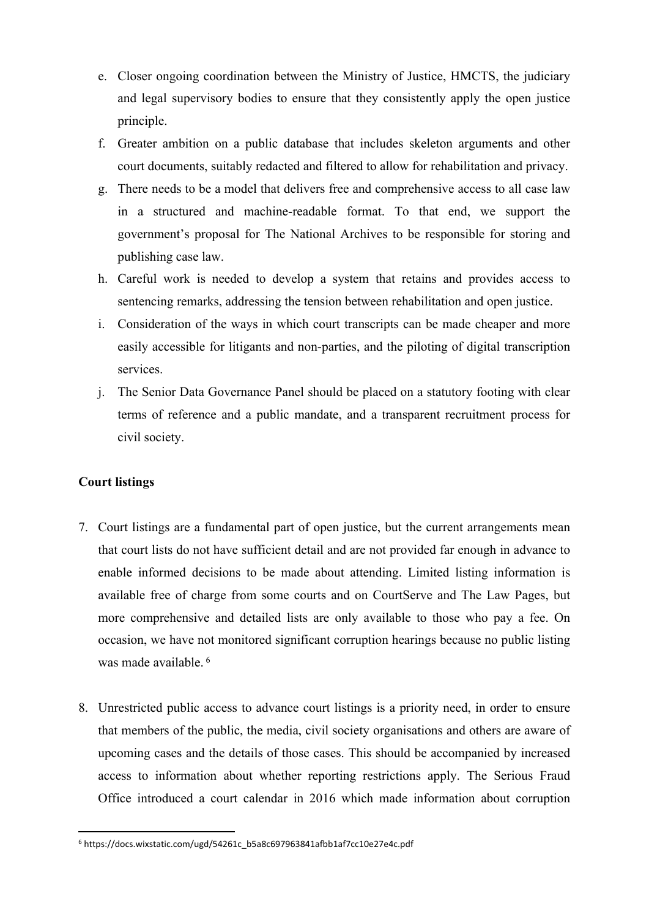- e. Closer ongoing coordination between the Ministry of Justice, HMCTS, the judiciary and legal supervisory bodies to ensure that they consistently apply the open justice principle.
- f. Greater ambition on a public database that includes skeleton arguments and other court documents, suitably redacted and filtered to allow for rehabilitation and privacy.
- g. There needs to be a model that delivers free and comprehensive access to all case law in a structured and machine-readable format. To that end, we support the government's proposal for The National Archives to be responsible for storing and publishing case law.
- h. Careful work is needed to develop a system that retains and provides access to sentencing remarks, addressing the tension between rehabilitation and open justice.
- i. Consideration of the ways in which court transcripts can be made cheaper and more easily accessible for litigants and non-parties, and the piloting of digital transcription services.
- j. The Senior Data Governance Panel should be placed on a statutory footing with clear terms of reference and a public mandate, and a transparent recruitment process for civil society.

# **Court listings**

- 7. Court listings are a fundamental part of open justice, but the current arrangements mean that court lists do not have sufficient detail and are not provided far enough in advance to enable informed decisions to be made about attending. Limited listing information is available free of charge from some courts and on CourtServe and The Law Pages, but more comprehensive and detailed lists are only available to those who pay a fee. On occasion, we have not monitored significant corruption hearings because no public listing was made available. <sup>6</sup>
- 8. Unrestricted public access to advance court listings is a priority need, in order to ensure that members of the public, the media, civil society organisations and others are aware of upcoming cases and the details of those cases. This should be accompanied by increased access to information about whether reporting restrictions apply. The Serious Fraud Office introduced a court calendar in 2016 which made information about corruption

<sup>6</sup> https://docs.wixstatic.com/ugd/54261c\_b5a8c697963841afbb1af7cc10e27e4c.pdf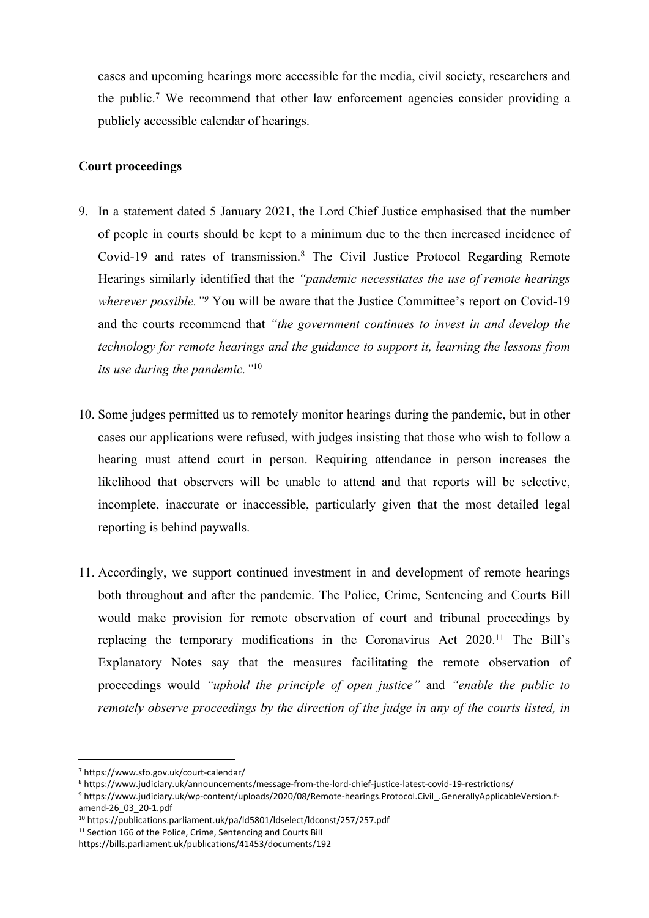cases and upcoming hearings more accessible for the media, civil society, researchers and the public.<sup>7</sup> We recommend that other law enforcement agencies consider providing a publicly accessible calendar of hearings.

# **Court proceedings**

- 9. In a statement dated 5 January 2021, the Lord Chief Justice emphasised that the number of people in courts should be kept to a minimum due to the then increased incidence of Covid-19 and rates of transmission.<sup>8</sup> The Civil Justice Protocol Regarding Remote Hearings similarly identified that the *"pandemic necessitates the use of remote hearings wherever possible."<sup>9</sup>* You will be aware that the Justice Committee's report on Covid-19 and the courts recommend that *"the government continues to invest in and develop the technology for remote hearings and the guidance to support it, learning the lessons from its use during the pandemic."*<sup>10</sup>
- 10. Some judges permitted us to remotely monitor hearings during the pandemic, but in other cases our applications were refused, with judges insisting that those who wish to follow a hearing must attend court in person. Requiring attendance in person increases the likelihood that observers will be unable to attend and that reports will be selective, incomplete, inaccurate or inaccessible, particularly given that the most detailed legal reporting is behind paywalls.
- 11. Accordingly, we support continued investment in and development of remote hearings both throughout and after the pandemic. The Police, Crime, Sentencing and Courts Bill would make provision for remote observation of court and tribunal proceedings by replacing the temporary modifications in the Coronavirus Act 2020.<sup>11</sup> The Bill's Explanatory Notes say that the measures facilitating the remote observation of proceedings would *"uphold the principle of open justice"* and *"enable the public to remotely observe proceedings by the direction of the judge in any of the courts listed, in*

<sup>7</sup> https://www.sfo.gov.uk/court-calendar/

<sup>8</sup> https://www.judiciary.uk/announcements/message-from-the-lord-chief-justice-latest-covid-19-restrictions/

<sup>9</sup> https://www.judiciary.uk/wp-content/uploads/2020/08/Remote-hearings.Protocol.Civil\_.GenerallyApplicableVersion.famend-26\_03\_20-1.pdf

<sup>10</sup> https://publications.parliament.uk/pa/ld5801/ldselect/ldconst/257/257.pdf

<sup>&</sup>lt;sup>11</sup> Section 166 of the Police, Crime, Sentencing and Courts Bill

https://bills.parliament.uk/publications/41453/documents/192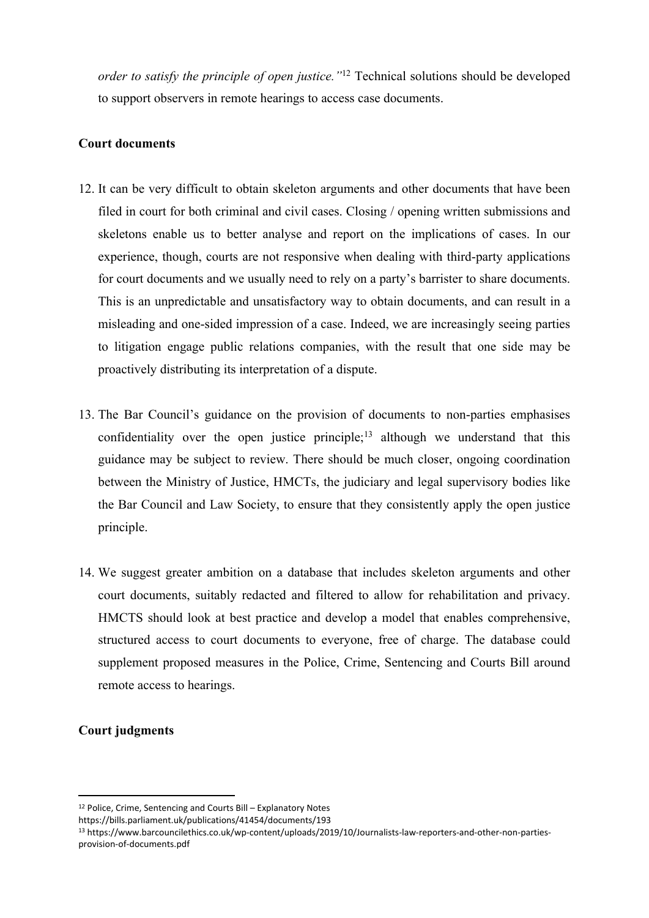*order to satisfy the principle of open justice."*<sup>12</sup> Technical solutions should be developed to support observers in remote hearings to access case documents.

#### **Court documents**

- 12. It can be very difficult to obtain skeleton arguments and other documents that have been filed in court for both criminal and civil cases. Closing / opening written submissions and skeletons enable us to better analyse and report on the implications of cases. In our experience, though, courts are not responsive when dealing with third-party applications for court documents and we usually need to rely on a party's barrister to share documents. This is an unpredictable and unsatisfactory way to obtain documents, and can result in a misleading and one-sided impression of a case. Indeed, we are increasingly seeing parties to litigation engage public relations companies, with the result that one side may be proactively distributing its interpretation of a dispute.
- 13. The Bar Council's guidance on the provision of documents to non-parties emphasises confidentiality over the open justice principle;<sup>13</sup> although we understand that this guidance may be subject to review. There should be much closer, ongoing coordination between the Ministry of Justice, HMCTs, the judiciary and legal supervisory bodies like the Bar Council and Law Society, to ensure that they consistently apply the open justice principle.
- 14. We suggest greater ambition on a database that includes skeleton arguments and other court documents, suitably redacted and filtered to allow for rehabilitation and privacy. HMCTS should look at best practice and develop a model that enables comprehensive, structured access to court documents to everyone, free of charge. The database could supplement proposed measures in the Police, Crime, Sentencing and Courts Bill around remote access to hearings.

# **Court judgments**

<sup>12</sup> Police, Crime, Sentencing and Courts Bill – Explanatory Notes

https://bills.parliament.uk/publications/41454/documents/193

<sup>13</sup> https://www.barcouncilethics.co.uk/wp-content/uploads/2019/10/Journalists-law-reporters-and-other-non-partiesprovision-of-documents.pdf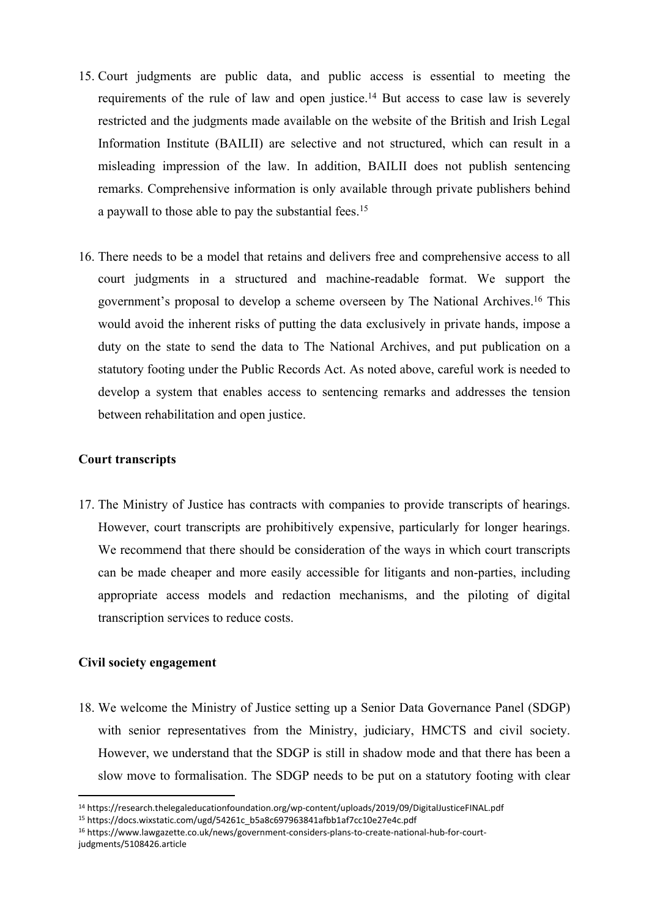- 15. Court judgments are public data, and public access is essential to meeting the requirements of the rule of law and open justice.<sup>14</sup> But access to case law is severely restricted and the judgments made available on the website of the British and Irish Legal Information Institute (BAILII) are selective and not structured, which can result in a misleading impression of the law. In addition, BAILII does not publish sentencing remarks. Comprehensive information is only available through private publishers behind a paywall to those able to pay the substantial fees.<sup>15</sup>
- 16. There needs to be a model that retains and delivers free and comprehensive access to all court judgments in a structured and machine-readable format. We support the government's proposal to develop a scheme overseen by The National Archives.<sup>16</sup> This would avoid the inherent risks of putting the data exclusively in private hands, impose a duty on the state to send the data to The National Archives, and put publication on a statutory footing under the Public Records Act. As noted above, careful work is needed to develop a system that enables access to sentencing remarks and addresses the tension between rehabilitation and open justice.

#### **Court transcripts**

17. The Ministry of Justice has contracts with companies to provide transcripts of hearings. However, court transcripts are prohibitively expensive, particularly for longer hearings. We recommend that there should be consideration of the ways in which court transcripts can be made cheaper and more easily accessible for litigants and non-parties, including appropriate access models and redaction mechanisms, and the piloting of digital transcription services to reduce costs.

#### **Civil society engagement**

18. We welcome the Ministry of Justice setting up a Senior Data Governance Panel (SDGP) with senior representatives from the Ministry, judiciary, HMCTS and civil society. However, we understand that the SDGP is still in shadow mode and that there has been a slow move to formalisation. The SDGP needs to be put on a statutory footing with clear

<sup>14</sup> https://research.thelegaleducationfoundation.org/wp-content/uploads/2019/09/DigitalJusticeFINAL.pdf

<sup>15</sup> https://docs.wixstatic.com/ugd/54261c\_b5a8c697963841afbb1af7cc10e27e4c.pdf

<sup>16</sup> https://www.lawgazette.co.uk/news/government-considers-plans-to-create-national-hub-for-courtjudgments/5108426.article